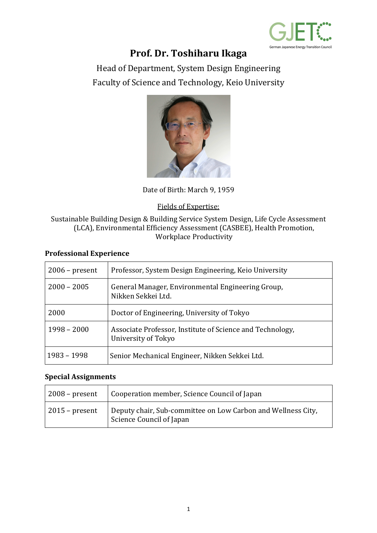

# **Prof. Dr. Toshiharu Ikaga**

Head of Department, System Design Engineering Faculty of Science and Technology, Keio University



Date of Birth: March 9, 1959

### Fields of Expertise:

#### Sustainable Building Design & Building Service System Design, Life Cycle Assessment (LCA), Environmental Efficiency Assessment (CASBEE), Health Promotion, Workplace Productivity

#### **Professional Experience**

| $2006$ – present | Professor, System Design Engineering, Keio University                            |
|------------------|----------------------------------------------------------------------------------|
| $2000 - 2005$    | General Manager, Environmental Engineering Group,<br>Nikken Sekkei Ltd.          |
| 2000             | Doctor of Engineering, University of Tokyo                                       |
| $1998 - 2000$    | Associate Professor, Institute of Science and Technology,<br>University of Tokyo |
| 1983 - 1998      | Senior Mechanical Engineer, Nikken Sekkei Ltd.                                   |

#### **Special Assignments**

| $2008$ – present | Cooperation member, Science Council of Japan                                             |
|------------------|------------------------------------------------------------------------------------------|
| $2015$ – present | Deputy chair, Sub-committee on Low Carbon and Wellness City,<br>Science Council of Japan |